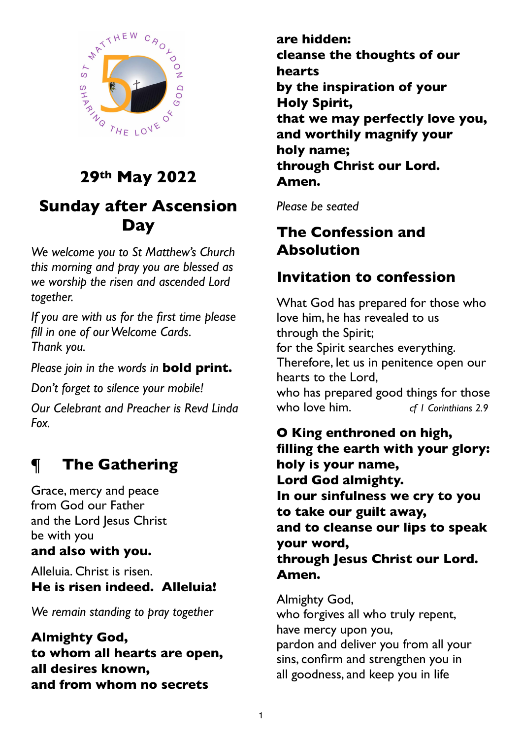

## **29th May 2022**

## **Sunday after Ascension Day**

*We welcome you to St Matthew's Church this morning and pray you are blessed as we worship the risen and ascended Lord together.* 

*If you are with us for the first time please fill in one of our Welcome Cards. Thank you.* 

*Please join in the words in* **bold print.** 

*Don't forget to silence your mobile!*

*Our Celebrant and Preacher is Revd Linda Fox.*

## **¶ The Gathering**

Grace, mercy and peace from God our Father and the Lord Jesus Christ be with you

## **and also with you.**

Alleluia. Christ is risen. **He is risen indeed. Alleluia!**

*We remain standing to pray together*

**Almighty God, to whom all hearts are open, all desires known, and from whom no secrets** 

**are hidden: cleanse the thoughts of our hearts by the inspiration of your Holy Spirit, that we may perfectly love you, and worthily magnify your holy name; through Christ our Lord. Amen.**

*Please be seated*

## **The Confession and Absolution**

## **Invitation to confession**

What God has prepared for those who love him, he has revealed to us through the Spirit; for the Spirit searches everything. Therefore, let us in penitence open our hearts to the Lord, who has prepared good things for those who love him. *cf 1 Corinthians 2.9*

**O King enthroned on high, filling the earth with your glory: holy is your name, Lord God almighty. In our sinfulness we cry to you to take our guilt away, and to cleanse our lips to speak your word, through Jesus Christ our Lord. Amen.** 

Almighty God, who forgives all who truly repent, have mercy upon you, pardon and deliver you from all your sins, confirm and strengthen you in all goodness, and keep you in life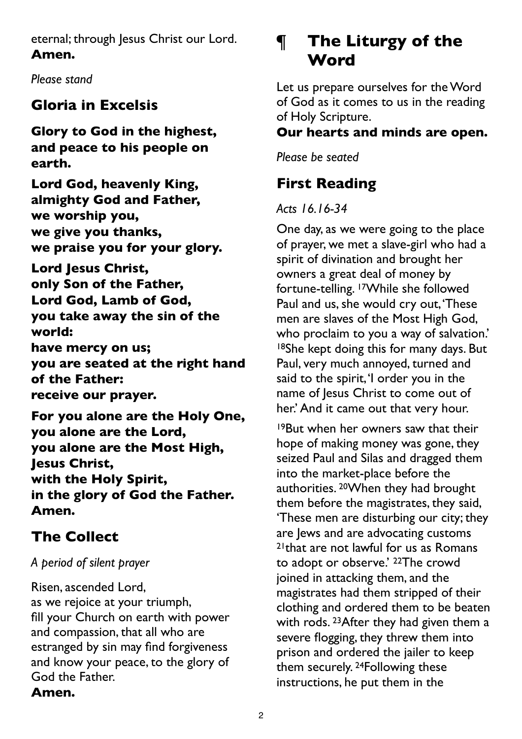eternal; through Jesus Christ our Lord. **Amen.** 

*Please stand* 

## **Gloria in Excelsis**

**Glory to God in the highest, and peace to his people on earth.**

**Lord God, heavenly King, almighty God and Father, we worship you, we give you thanks, we praise you for your glory.**

**Lord Jesus Christ, only Son of the Father, Lord God, Lamb of God, you take away the sin of the world: have mercy on us; you are seated at the right hand of the Father: receive our prayer.**

**For you alone are the Holy One, you alone are the Lord, you alone are the Most High, Jesus Christ, with the Holy Spirit, in the glory of God the Father. Amen.**

## **The Collect**

## *A period of silent prayer*

Risen, ascended Lord, as we rejoice at your triumph, fill your Church on earth with power and compassion, that all who are estranged by sin may find forgiveness and know your peace, to the glory of God the Father. **Amen.**

## **¶ The Liturgy of the Word**

Let us prepare ourselves for the Word of God as it comes to us in the reading of Holy Scripture.

## **Our hearts and minds are open.**

*Please be seated*

## **First Reading**

### *Acts 16.16-34*

One day, as we were going to the place of prayer, we met a slave-girl who had a spirit of divination and brought her owners a great deal of money by fortune-telling. 17While she followed Paul and us, she would cry out, 'These men are slaves of the Most High God, who proclaim to you a way of salvation.' 18She kept doing this for many days. But Paul, very much annoyed, turned and said to the spirit, 'I order you in the name of Jesus Christ to come out of her.' And it came out that very hour.

19But when her owners saw that their hope of making money was gone, they seized Paul and Silas and dragged them into the market-place before the authorities. 20When they had brought them before the magistrates, they said, 'These men are disturbing our city; they are Jews and are advocating customs 21that are not lawful for us as Romans to adopt or observe.' 22The crowd joined in attacking them, and the magistrates had them stripped of their clothing and ordered them to be beaten with rods. <sup>23</sup> After they had given them a severe flogging, they threw them into prison and ordered the jailer to keep them securely. 24Following these instructions, he put them in the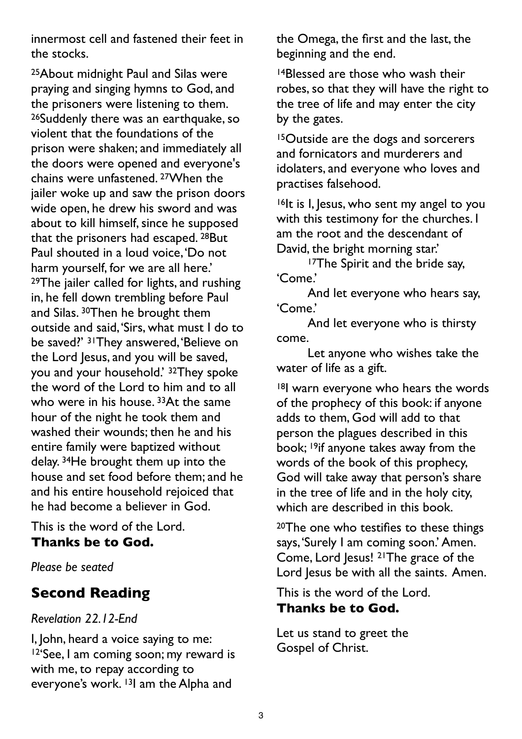innermost cell and fastened their feet in the stocks.

25About midnight Paul and Silas were praying and singing hymns to God, and the prisoners were listening to them. 26Suddenly there was an earthquake, so violent that the foundations of the prison were shaken; and immediately all the doors were opened and everyone's chains were unfastened. 27When the jailer woke up and saw the prison doors wide open, he drew his sword and was about to kill himself, since he supposed that the prisoners had escaped. 28But Paul shouted in a loud voice, 'Do not harm yourself, for we are all here.' 29The jailer called for lights, and rushing in, he fell down trembling before Paul and Silas. 30Then he brought them outside and said, 'Sirs, what must I do to be saved?' 31They answered, 'Believe on the Lord Jesus, and you will be saved, you and your household.' 32They spoke the word of the Lord to him and to all who were in his house. 33At the same hour of the night he took them and washed their wounds; then he and his entire family were baptized without delay. 34He brought them up into the house and set food before them; and he and his entire household rejoiced that he had become a believer in God.

This is the word of the Lord. **Thanks be to God.**

*Please be seated*

## **Second Reading**

#### *Revelation 22.12-End*

I, John, heard a voice saying to me: 12'See, I am coming soon; my reward is with me, to repay according to everyone's work. 13I am the Alpha and

the Omega, the first and the last, the beginning and the end.

14Blessed are those who wash their robes, so that they will have the right to the tree of life and may enter the city by the gates.

<sup>15</sup>Outside are the dogs and sorcerers and fornicators and murderers and idolaters, and everyone who loves and practises falsehood.

16It is I, Jesus, who sent my angel to you with this testimony for the churches. I am the root and the descendant of David, the bright morning star.'

<sup>17</sup>The Spirit and the bride say, 'Come.'

And let everyone who hears say, 'Come.'

And let everyone who is thirsty come.

Let anyone who wishes take the water of life as a gift.

18I warn everyone who hears the words of the prophecy of this book: if anyone adds to them, God will add to that person the plagues described in this book; 19if anyone takes away from the words of the book of this prophecy, God will take away that person's share in the tree of life and in the holy city, which are described in this book.

20The one who testifies to these things says, 'Surely I am coming soon.' Amen. Come, Lord Jesus! 21The grace of the Lord Jesus be with all the saints. Amen.

This is the word of the Lord.

### **Thanks be to God.**

Let us stand to greet the Gospel of Christ.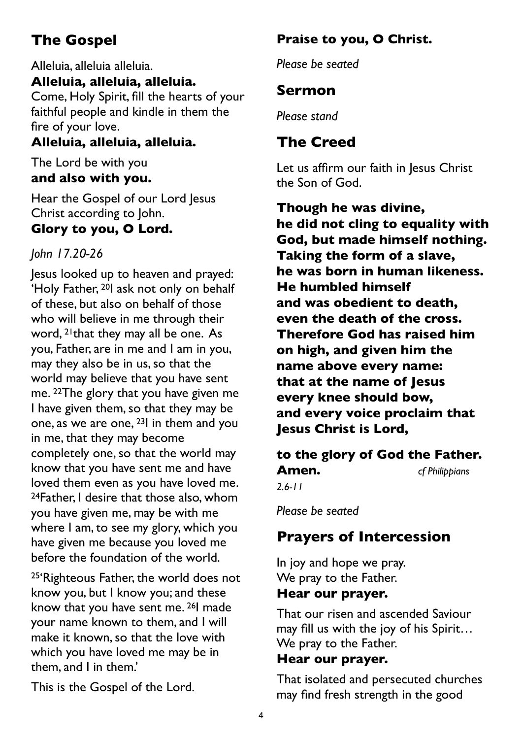## **The Gospel**

Alleluia, alleluia alleluia.

### **Alleluia, alleluia, alleluia.**

Come, Holy Spirit, fill the hearts of your faithful people and kindle in them the fire of your love.

### **Alleluia, alleluia, alleluia.**

The Lord be with you **and also with you.**

Hear the Gospel of our Lord Jesus Christ according to John.

## **Glory to you, O Lord.**

## *John 17.20-26*

Jesus looked up to heaven and prayed: 'Holy Father, 20I ask not only on behalf of these, but also on behalf of those who will believe in me through their word, <sup>21</sup>that they may all be one. As you, Father, are in me and I am in you, may they also be in us, so that the world may believe that you have sent me. 22The glory that you have given me I have given them, so that they may be one, as we are one, 23I in them and you in me, that they may become completely one, so that the world may know that you have sent me and have loved them even as you have loved me. 24Father, I desire that those also, whom you have given me, may be with me where I am, to see my glory, which you have given me because you loved me before the foundation of the world.

25'Righteous Father, the world does not know you, but I know you; and these know that you have sent me. 26I made your name known to them, and I will make it known, so that the love with which you have loved me may be in them, and I in them.'

This is the Gospel of the Lord.

## **Praise to you, O Christ.**

*Please be seated* 

## **Sermon**

*Please stand* 

## **The Creed**

Let us affirm our faith in Jesus Christ the Son of God.

**Though he was divine, he did not cling to equality with God, but made himself nothing. Taking the form of a slave, he was born in human likeness. He humbled himself and was obedient to death, even the death of the cross. Therefore God has raised him on high, and given him the name above every name: that at the name of Jesus every knee should bow, and every voice proclaim that Jesus Christ is Lord,**

## **to the glory of God the Father. Amen.** *cf Philippians*

*2.6-11*

*Please be seated*

## **Prayers of Intercession**

In joy and hope we pray. We pray to the Father.

### **Hear our prayer.**

That our risen and ascended Saviour may fill us with the joy of his Spirit… We pray to the Father.

### **Hear our prayer.**

That isolated and persecuted churches may find fresh strength in the good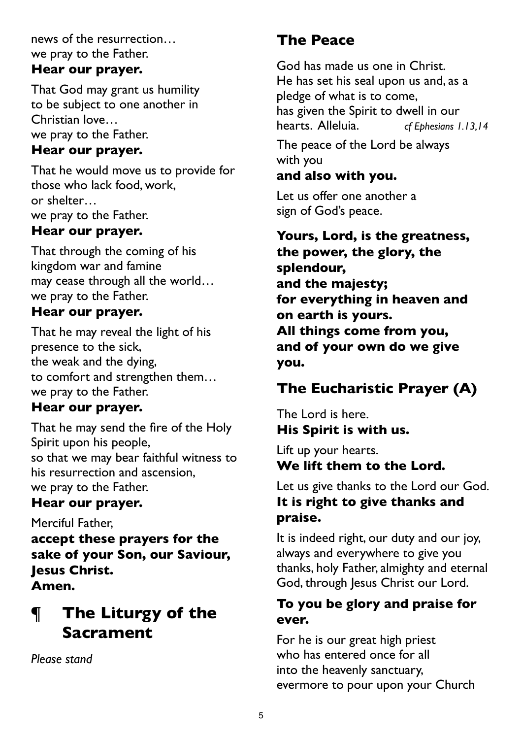news of the resurrection… we pray to the Father.

#### **Hear our prayer.**

That God may grant us humility to be subject to one another in Christian love… we pray to the Father.

#### **Hear our prayer.**

That he would move us to provide for those who lack food, work, or shelter… we pray to the Father.

#### **Hear our prayer.**

That through the coming of his kingdom war and famine may cease through all the world… we pray to the Father.

## **Hear our prayer.**

That he may reveal the light of his presence to the sick, the weak and the dying, to comfort and strengthen them… we pray to the Father.

### **Hear our prayer.**

That he may send the fire of the Holy Spirit upon his people, so that we may bear faithful witness to his resurrection and ascension, we pray to the Father.

#### **Hear our prayer.**

Merciful Father,

**accept these prayers for the sake of your Son, our Saviour, Jesus Christ. Amen.**

## **¶ The Liturgy of the Sacrament**

*Please stand* 

## **The Peace**

God has made us one in Christ. He has set his seal upon us and, as a pledge of what is to come, has given the Spirit to dwell in our hearts. Alleluia. *cf Ephesians 1.13,14*

The peace of the Lord be always with you

#### **and also with you.**

Let us offer one another a sign of God's peace.

**Yours, Lord, is the greatness, the power, the glory, the splendour, and the majesty; for everything in heaven and on earth is yours. All things come from you, and of your own do we give you.**

## **The Eucharistic Prayer (A)**

The Lord is here. **His Spirit is with us.**

Lift up your hearts. **We lift them to the Lord.**

Let us give thanks to the Lord our God. **It is right to give thanks and praise.**

It is indeed right, our duty and our joy, always and everywhere to give you thanks, holy Father, almighty and eternal God, through Jesus Christ our Lord.

#### **To you be glory and praise for ever.**

For he is our great high priest who has entered once for all into the heavenly sanctuary, evermore to pour upon your Church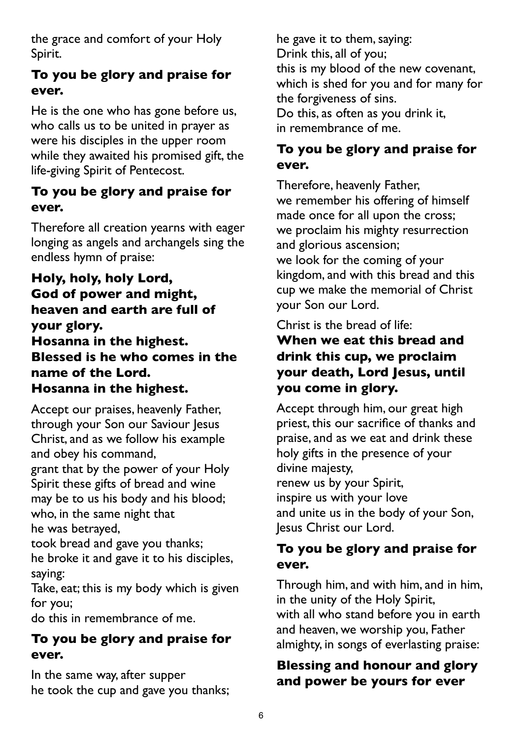the grace and comfort of your Holy Spirit.

### **To you be glory and praise for ever.**

He is the one who has gone before us, who calls us to be united in prayer as were his disciples in the upper room while they awaited his promised gift, the life-giving Spirit of Pentecost.

#### **To you be glory and praise for ever.**

Therefore all creation yearns with eager longing as angels and archangels sing the endless hymn of praise:

### **Holy, holy, holy Lord, God of power and might, heaven and earth are full of your glory.**

#### **Hosanna in the highest. Blessed is he who comes in the name of the Lord. Hosanna in the highest.**

Accept our praises, heavenly Father, through your Son our Saviour Jesus Christ, and as we follow his example and obey his command, grant that by the power of your Holy Spirit these gifts of bread and wine

may be to us his body and his blood; who, in the same night that

he was betrayed,

took bread and gave you thanks; he broke it and gave it to his disciples,

saying:

Take, eat; this is my body which is given for you;

do this in remembrance of me.

### **To you be glory and praise for ever.**

In the same way, after supper he took the cup and gave you thanks; he gave it to them, saying: Drink this, all of you; this is my blood of the new covenant, which is shed for you and for many for the forgiveness of sins. Do this, as often as you drink it, in remembrance of me.

### **To you be glory and praise for ever.**

Therefore, heavenly Father, we remember his offering of himself made once for all upon the cross; we proclaim his mighty resurrection and glorious ascension; we look for the coming of your kingdom, and with this bread and this cup we make the memorial of Christ your Son our Lord.

Christ is the bread of life:

### **When we eat this bread and drink this cup, we proclaim your death, Lord Jesus, until you come in glory.**

Accept through him, our great high priest, this our sacrifice of thanks and praise, and as we eat and drink these holy gifts in the presence of your divine majesty, renew us by your Spirit, inspire us with your love and unite us in the body of your Son, Jesus Christ our Lord.

### **To you be glory and praise for ever.**

Through him, and with him, and in him, in the unity of the Holy Spirit, with all who stand before you in earth and heaven, we worship you, Father almighty, in songs of everlasting praise:

### **Blessing and honour and glory and power be yours for ever**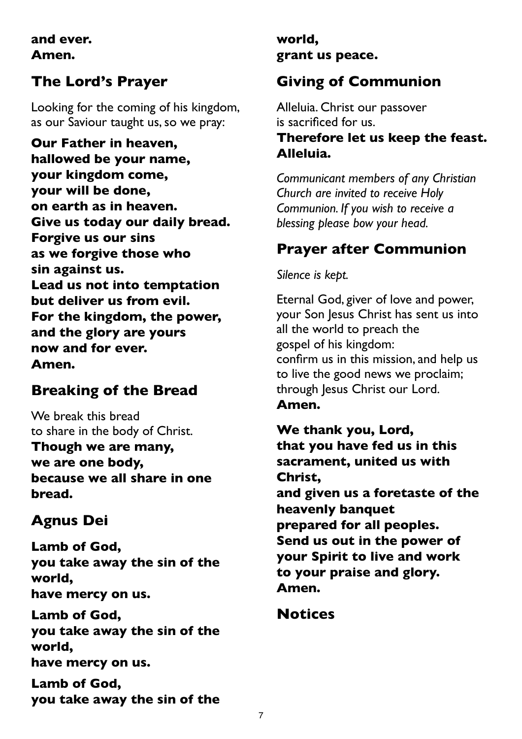### **and ever. Amen.**

## **The Lord's Prayer**

Looking for the coming of his kingdom, as our Saviour taught us, so we pray:

**Our Father in heaven, hallowed be your name, your kingdom come, your will be done, on earth as in heaven. Give us today our daily bread. Forgive us our sins as we forgive those who sin against us. Lead us not into temptation but deliver us from evil. For the kingdom, the power, and the glory are yours now and for ever. Amen.** 

## **Breaking of the Bread**

We break this bread to share in the body of Christ.

**Though we are many, we are one body, because we all share in one bread.**

## **Agnus Dei**

**Lamb of God, you take away the sin of the world, have mercy on us.**

**Lamb of God, you take away the sin of the world, have mercy on us.**

**Lamb of God, you take away the sin of the** 

#### **world, grant us peace.**

## **Giving of Communion**

Alleluia. Christ our passover is sacrificed for us.

### **Therefore let us keep the feast. Alleluia.**

*Communicant members of any Christian Church are invited to receive Holy Communion. If you wish to receive a blessing please bow your head.*

## **Prayer after Communion**

*Silence is kept.*

Eternal God, giver of love and power, your Son Jesus Christ has sent us into all the world to preach the gospel of his kingdom: confirm us in this mission, and help us to live the good news we proclaim; through Jesus Christ our Lord. **Amen.**

**We thank you, Lord, that you have fed us in this sacrament, united us with Christ, and given us a foretaste of the heavenly banquet prepared for all peoples. Send us out in the power of your Spirit to live and work to your praise and glory. Amen.**

## **Notices**